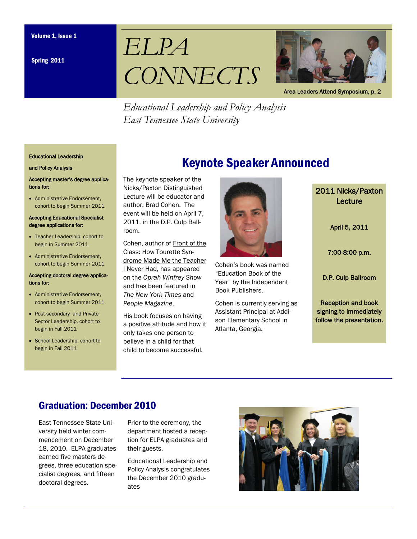Spring 2011





Area Leaders Attend Symposium, p. 2

*Educational Leadership and Policy Analysis East Tennessee State University* 

#### Educational Leadership

#### and Policy Analysis

Accepting master's degree applications for:

• Administrative Endorsement, cohort to begin Summer 2011

#### Accepting Educational Specialist degree applications for:

- Teacher Leadership, cohort to begin in Summer 2011
- Administrative Endorsement, cohort to begin Summer 2011

#### Accepting doctoral degree applications for:

- Administrative Endorsement, cohort to begin Summer 2011
- Post-secondary and Private Sector Leadership, cohort to begin in Fall 2011
- School Leadership, cohort to begin in Fall 2011

# Keynote Speaker Announced

The keynote speaker of the Nicks/Paxton Distinguished Lecture will be educator and author, Brad Cohen. The event will be held on April 7, 2011, in the D.P. Culp Ballroom.

Cohen, author of Front of the Class: How Tourette Syndrome Made Me the Teacher I Never Had, has appeared on the *Oprah Winfrey Show*  and has been featured in *The New York Times* and *People Magazine*.

His book focuses on having a positive attitude and how it only takes one person to believe in a child for that child to become successful.



Cohen's book was named "Education Book of the Year" by the Independent Book Publishers.

Cohen is currently serving as Assistant Principal at Addison Elementary School in Atlanta, Georgia.

2011 Nicks/Paxton Lecture

April 5, 2011

7:00-8:00 p.m.

D.P. Culp Ballroom

Reception and book signing to immediately follow the presentation.

### Graduation: December 2010

East Tennessee State University held winter commencement on December 18, 2010. ELPA graduates earned five masters degrees, three education specialist degrees, and fifteen doctoral degrees.

Prior to the ceremony, the department hosted a reception for ELPA graduates and their guests.

Educational Leadership and Policy Analysis congratulates the December 2010 graduates